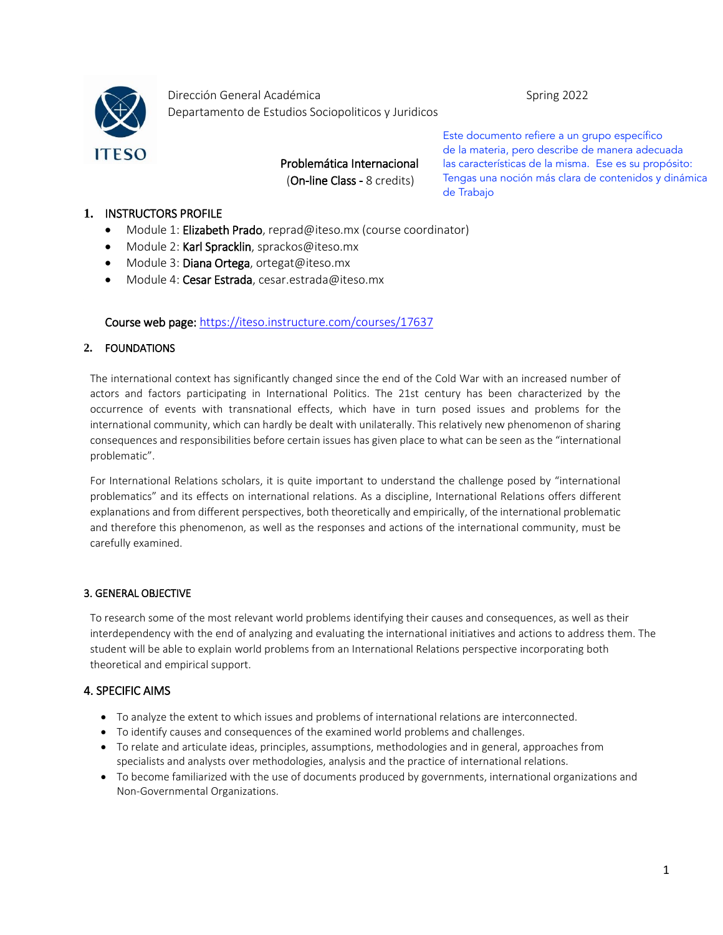

Dirección General Académica **Spring 2022** Departamento de Estudios Sociopoliticos y Juridicos

> Problemática Internacional (On-line Class - 8 credits)

Este documento refiere a un grupo específico de la materia, pero describe de manera adecuada las características de la misma. Ese es su propósito: Tengas una noción más clara de contenidos y dinámica de Trabajo

## **1.** INSTRUCTORS PROFILE

- Module 1: Elizabeth Prado, [reprad@iteso.mx](mailto:reprad@iteso.mx) (course coordinator)
- Module 2: Karl Spracklin, [sprackos@iteso.mx](mailto:sprackos@iteso.mx)
- Module 3: Diana Ortega, ortegat@iteso.mx
- Module 4: Cesar Estrada, cesar.estrada@iteso.mx

### Course web page:<https://iteso.instructure.com/courses/17637>

### **2.** FOUNDATIONS

The international context has significantly changed since the end of the Cold War with an increased number of actors and factors participating in International Politics. The 21st century has been characterized by the occurrence of events with transnational effects, which have in turn posed issues and problems for the international community, which can hardly be dealt with unilaterally. This relatively new phenomenon of sharing consequences and responsibilities before certain issues has given place to what can be seen as the "international problematic".

For International Relations scholars, it is quite important to understand the challenge posed by "international problematics" and its effects on international relations. As a discipline, International Relations offers different explanations and from different perspectives, both theoretically and empirically, of the international problematic and therefore this phenomenon, as well as the responses and actions of the international community, must be carefully examined.

### 3. GENERAL OBJECTIVE

To research some of the most relevant world problems identifying their causes and consequences, as well as their interdependency with the end of analyzing and evaluating the international initiatives and actions to address them. The student will be able to explain world problems from an International Relations perspective incorporating both theoretical and empirical support.

# 4. SPECIFIC AIMS

- To analyze the extent to which issues and problems of international relations are interconnected.
- To identify causes and consequences of the examined world problems and challenges.
- To relate and articulate ideas, principles, assumptions, methodologies and in general, approaches from specialists and analysts over methodologies, analysis and the practice of international relations.
- To become familiarized with the use of documents produced by governments, international organizations and Non-Governmental Organizations.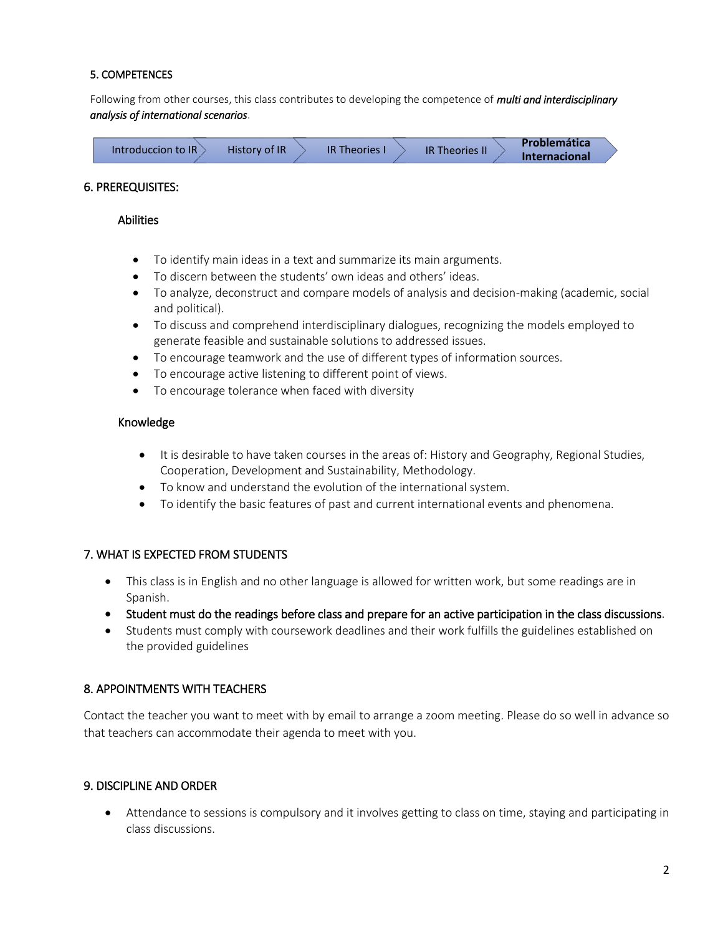### 5. COMPETENCES

Following from other courses, this class contributes to developing the competence of *multi and interdisciplinary analysis of international scenarios*.

| Introduccion to IR |  | <b>History of IR</b> |  | <b>IR Theories I</b> | <b>IR Theories In</b> | <b>Problemática</b> |                      |
|--------------------|--|----------------------|--|----------------------|-----------------------|---------------------|----------------------|
|                    |  |                      |  |                      |                       |                     | <b>Internacional</b> |

#### 6. PREREQUISITES:

#### Abilities

- To identify main ideas in a text and summarize its main arguments.
- To discern between the students' own ideas and others' ideas.
- To analyze, deconstruct and compare models of analysis and decision-making (academic, social and political).
- To discuss and comprehend interdisciplinary dialogues, recognizing the models employed to generate feasible and sustainable solutions to addressed issues.
- To encourage teamwork and the use of different types of information sources.
- To encourage active listening to different point of views.
- To encourage tolerance when faced with diversity

### Knowledge

- It is desirable to have taken courses in the areas of: History and Geography, Regional Studies, Cooperation, Development and Sustainability, Methodology.
- To know and understand the evolution of the international system.
- To identify the basic features of past and current international events and phenomena.

### 7. WHAT IS EXPECTED FROM STUDENTS

- This class is in English and no other language is allowed for written work, but some readings are in Spanish.
- Student must do the readings before class and prepare for an active participation in the class discussions.
- Students must comply with coursework deadlines and their work fulfills the guidelines established on the provided guidelines

### 8. APPOINTMENTS WITH TEACHERS

Contact the teacher you want to meet with by email to arrange a zoom meeting. Please do so well in advance so that teachers can accommodate their agenda to meet with you.

### 9. DISCIPLINE AND ORDER

• Attendance to sessions is compulsory and it involves getting to class on time, staying and participating in class discussions.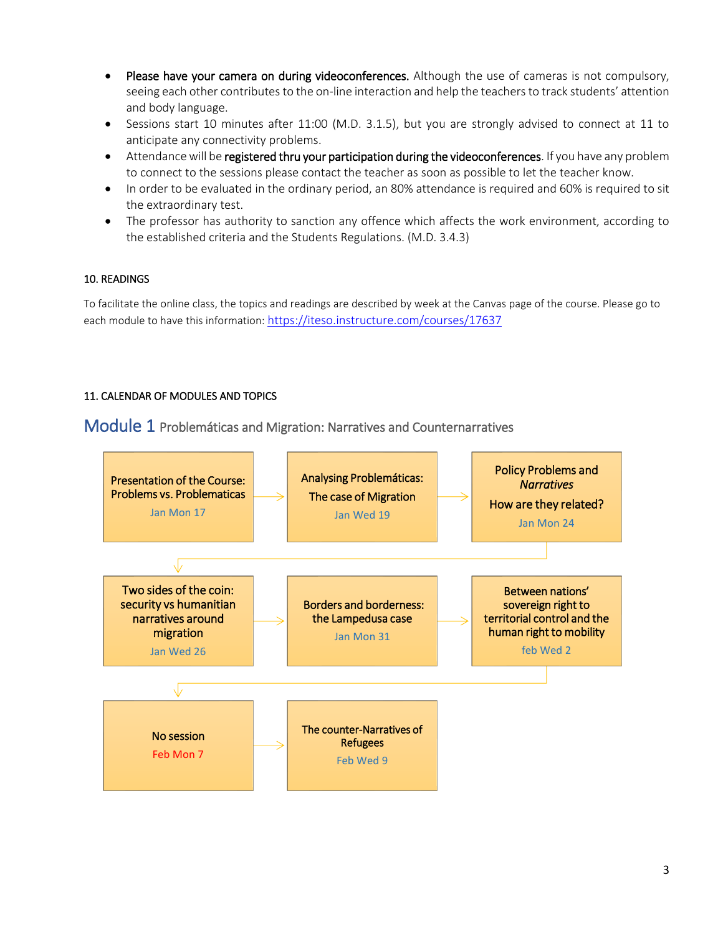- Please have your camera on during videoconferences. Although the use of cameras is not compulsory, seeing each other contributes to the on-line interaction and help the teachers to track students' attention and body language.
- Sessions start 10 minutes after 11:00 (M.D. 3.1.5), but you are strongly advised to connect at 11 to anticipate any connectivity problems.
- Attendance will be registered thru your participation during the videoconferences. If you have any problem to connect to the sessions please contact the teacher as soon as possible to let the teacher know.
- In order to be evaluated in the ordinary period, an 80% attendance is required and 60% is required to sit the extraordinary test.
- The professor has authority to sanction any offence which affects the work environment, according to the established criteria and the Students Regulations. (M.D. 3.4.3)

# 10. READINGS

To facilitate the online class, the topics and readings are described by week at the Canvas page of the course. Please go to each module to have this information: <https://iteso.instructure.com/courses/17637>

# 11. CALENDAR OF MODULES AND TOPICS

Module 1 Problemáticas and Migration: Narratives and Counternarratives

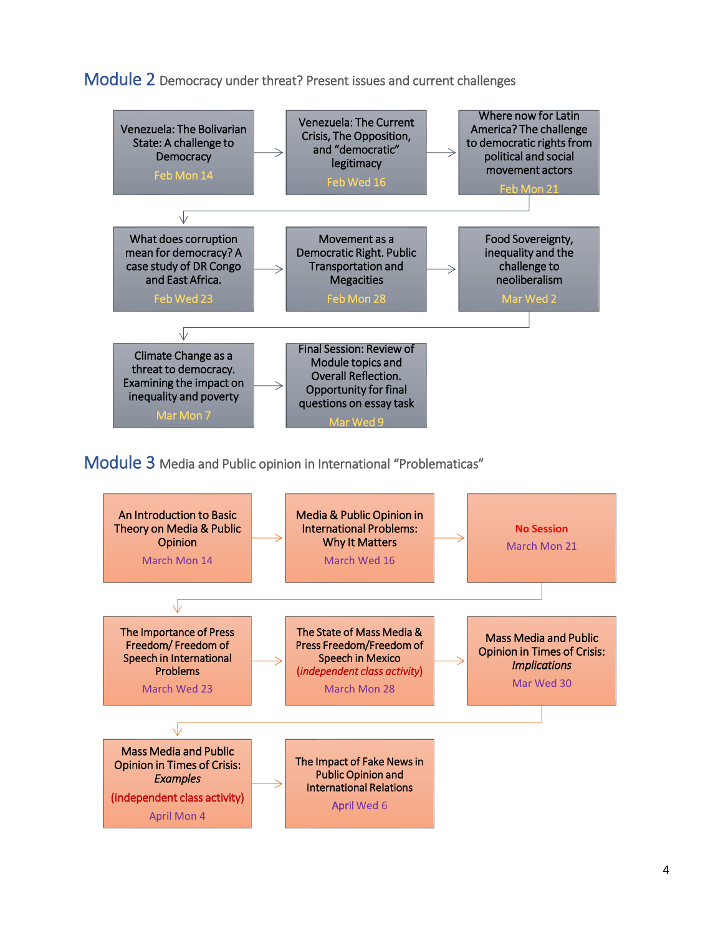Module 2 Democracy under threat? Present issues and current challenges



Module 3 Media and Public opinion in International "Problematicas"

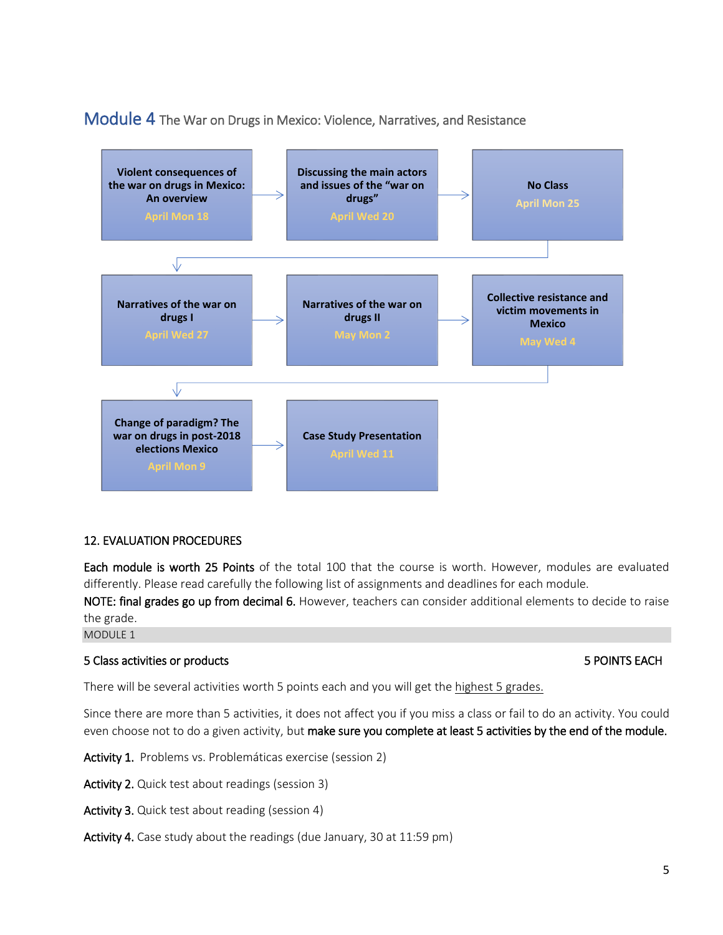# Module 4 The War on Drugs in Mexico: Violence, Narratives, and Resistance



## 12. EVALUATION PROCEDURES

Each module is worth 25 Points of the total 100 that the course is worth. However, modules are evaluated differently. Please read carefully the following list of assignments and deadlines for each module.

NOTE: final grades go up from decimal 6. However, teachers can consider additional elements to decide to raise the grade.

MODULE 1

### 5 Class activities or products 5 POINTS EACH

There will be several activities worth 5 points each and you will get the highest 5 grades.

Since there are more than 5 activities, it does not affect you if you miss a class or fail to do an activity. You could even choose not to do a given activity, but make sure you complete at least 5 activities by the end of the module.

Activity 1. Problems vs. Problemáticas exercise (session 2)

Activity 2. Quick test about readings (session 3)

Activity 3. Quick test about reading (session 4)

Activity 4. Case study about the readings (due January, 30 at 11:59 pm)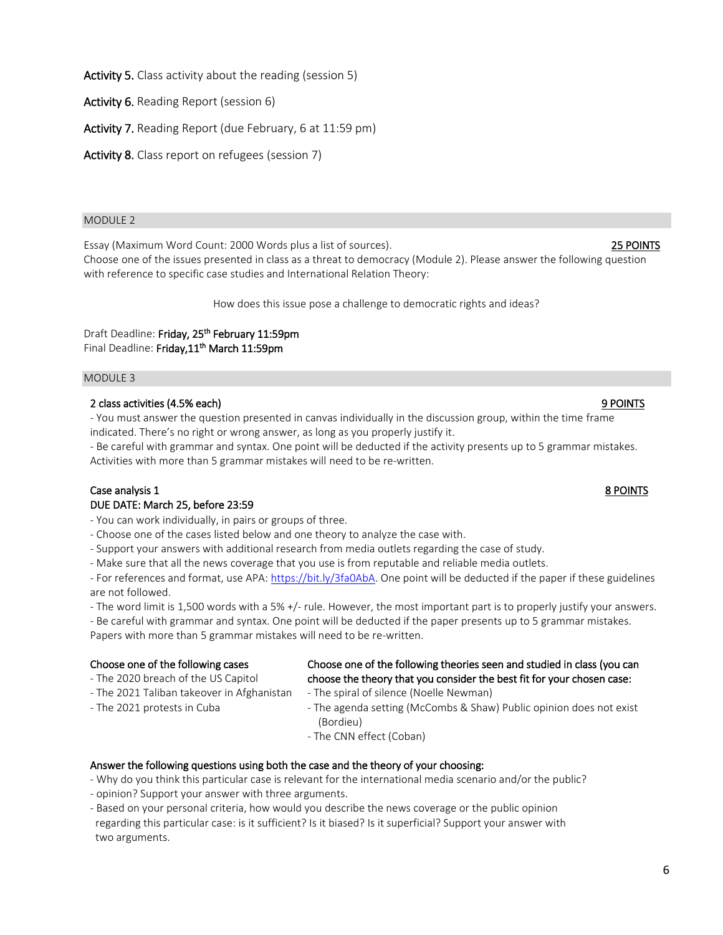Activity 5. Class activity about the reading (session 5)

Activity 6. Reading Report (session 6)

Activity 7. Reading Report (due February, 6 at 11:59 pm)

Activity 8. Class report on refugees (session 7)

#### MODULE 2

Essay (Maximum Word Count: 2000 Words plus a list of sources). 25 POINTS

Choose one of the issues presented in class as a threat to democracy (Module 2). Please answer the following question with reference to specific case studies and International Relation Theory:

How does this issue pose a challenge to democratic rights and ideas?

Draft Deadline: Friday, 25<sup>th</sup> February 11:59pm Final Deadline: Friday,11<sup>th</sup> March 11:59pm

#### MODULE 3

#### 2 class activities (4.5% each) 9 POINTS

- You must answer the question presented in canvas individually in the discussion group, within the time frame indicated. There's no right or wrong answer, as long as you properly justify it.

- Be careful with grammar and syntax. One point will be deducted if the activity presents up to 5 grammar mistakes. Activities with more than 5 grammar mistakes will need to be re-written.

### Case analysis 1 8 POINTS DUE DATE: March 25, before 23:59

- You can work individually, in pairs or groups of three.

- Choose one of the cases listed below and one theory to analyze the case with.
- Support your answers with additional research from media outlets regarding the case of study.

- Make sure that all the news coverage that you use is from reputable and reliable media outlets.

- For references and format, use APA[: https://bit.ly/3fa0AbA.](https://bit.ly/3fa0AbA) One point will be deducted if the paper if these guidelines are not followed.

- The word limit is 1,500 words with a 5% +/- rule. However, the most important part is to properly justify your answers.

- Be careful with grammar and syntax. One point will be deducted if the paper presents up to 5 grammar mistakes. Papers with more than 5 grammar mistakes will need to be re-written.

#### Choose one of the following cases

- The 2020 breach of the US Capitol
- The 2021 Taliban takeover in Afghanistan
- The 2021 protests in Cuba
- choose the theory that you consider the best fit for your chosen case: - The spiral of silence (Noelle Newman) - The agenda setting (McCombs & Shaw) Public opinion does not exist

Choose one of the following theories seen and studied in class (you can

- (Bordieu)
- The CNN effect (Coban)

#### Answer the following questions using both the case and the theory of your choosing:

- Why do you think this particular case is relevant for the international media scenario and/or the public?
- opinion? Support your answer with three arguments.
- Based on your personal criteria, how would you describe the news coverage or the public opinion regarding this particular case: is it sufficient? Is it biased? Is it superficial? Support your answer with two arguments.

# 6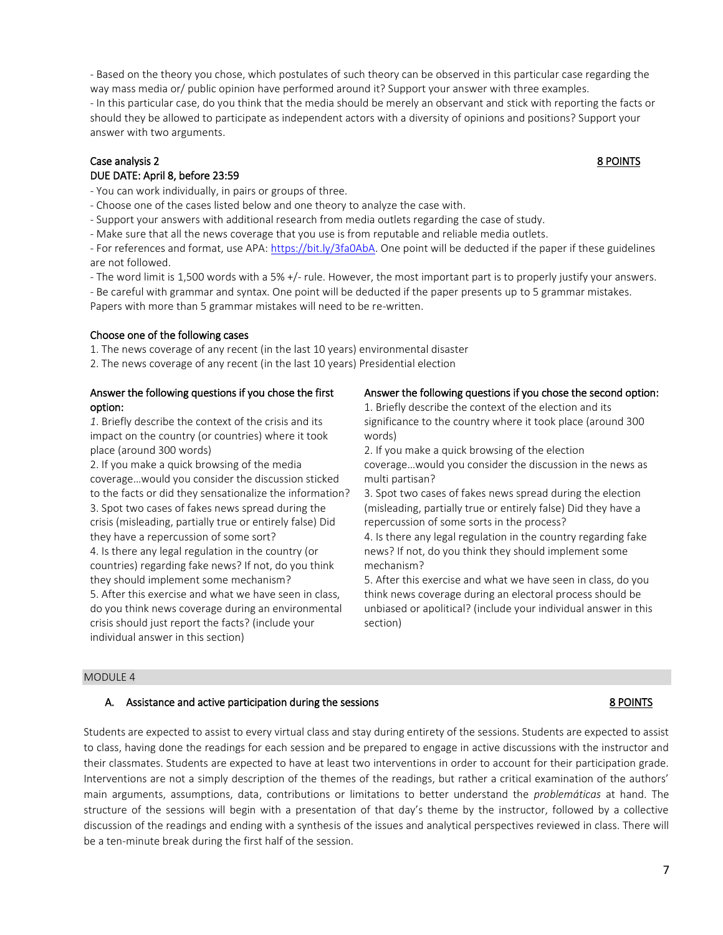- Based on the theory you chose, which postulates of such theory can be observed in this particular case regarding the way mass media or/ public opinion have performed around it? Support your answer with three examples.

- In this particular case, do you think that the media should be merely an observant and stick with reporting the facts or should they be allowed to participate as independent actors with a diversity of opinions and positions? Support your answer with two arguments.

## Case analysis 2 8 POINTS DUE DATE: April 8, before 23:59

- You can work individually, in pairs or groups of three.

- Choose one of the cases listed below and one theory to analyze the case with.
- Support your answers with additional research from media outlets regarding the case of study.

- Make sure that all the news coverage that you use is from reputable and reliable media outlets.

- For references and format, use APA[: https://bit.ly/3fa0AbA.](https://bit.ly/3fa0AbA) One point will be deducted if the paper if these guidelines are not followed.

- The word limit is 1,500 words with a 5% +/- rule. However, the most important part is to properly justify your answers.

- Be careful with grammar and syntax. One point will be deducted if the paper presents up to 5 grammar mistakes.

Papers with more than 5 grammar mistakes will need to be re-written.

# Choose one of the following cases

1. The news coverage of any recent (in the last 10 years) environmental disaster

2. The news coverage of any recent (in the last 10 years) Presidential election

## Answer the following questions if you chose the first option:

*1*. Briefly describe the context of the crisis and its impact on the country (or countries) where it took place (around 300 words)

2. If you make a quick browsing of the media coverage…would you consider the discussion sticked to the facts or did they sensationalize the information? 3. Spot two cases of fakes news spread during the crisis (misleading, partially true or entirely false) Did they have a repercussion of some sort?

4. Is there any legal regulation in the country (or countries) regarding fake news? If not, do you think they should implement some mechanism?

5. After this exercise and what we have seen in class, do you think news coverage during an environmental crisis should just report the facts? (include your individual answer in this section)

# Answer the following questions if you chose the second option:

1. Briefly describe the context of the election and its significance to the country where it took place (around 300 words)

2. If you make a quick browsing of the election coverage…would you consider the discussion in the news as multi partisan?

3. Spot two cases of fakes news spread during the election (misleading, partially true or entirely false) Did they have a repercussion of some sorts in the process?

4. Is there any legal regulation in the country regarding fake news? If not, do you think they should implement some mechanism?

5. After this exercise and what we have seen in class, do you think news coverage during an electoral process should be unbiased or apolitical? (include your individual answer in this section)

# MODULE 4

# A. Assistance and active participation during the sessions **8 POINTS** 8 POINTS

Students are expected to assist to every virtual class and stay during entirety of the sessions. Students are expected to assist to class, having done the readings for each session and be prepared to engage in active discussions with the instructor and their classmates. Students are expected to have at least two interventions in order to account for their participation grade. Interventions are not a simply description of the themes of the readings, but rather a critical examination of the authors' main arguments, assumptions, data, contributions or limitations to better understand the *problemáticas* at hand. The structure of the sessions will begin with a presentation of that day's theme by the instructor, followed by a collective discussion of the readings and ending with a synthesis of the issues and analytical perspectives reviewed in class. There will be a ten-minute break during the first half of the session.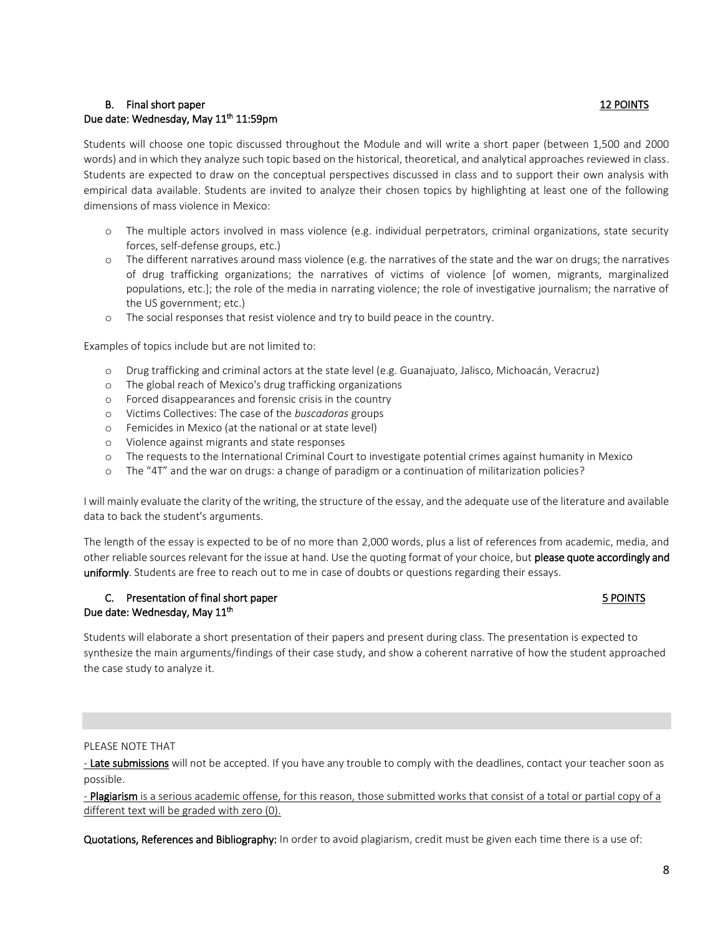## B. Final short paper 12 POINTS Due date: Wednesday, May 11<sup>th</sup> 11:59pm

Students will choose one topic discussed throughout the Module and will write a short paper (between 1,500 and 2000 words) and in which they analyze such topic based on the historical, theoretical, and analytical approaches reviewed in class. Students are expected to draw on the conceptual perspectives discussed in class and to support their own analysis with empirical data available. Students are invited to analyze their chosen topics by highlighting at least one of the following dimensions of mass violence in Mexico:

- o The multiple actors involved in mass violence (e.g. individual perpetrators, criminal organizations, state security forces, self-defense groups, etc.)
- o The different narratives around mass violence (e.g. the narratives of the state and the war on drugs; the narratives of drug trafficking organizations; the narratives of victims of violence [of women, migrants, marginalized populations, etc.]; the role of the media in narrating violence; the role of investigative journalism; the narrative of the US government; etc.)
- o The social responses that resist violence and try to build peace in the country.

Examples of topics include but are not limited to:

- o Drug trafficking and criminal actors at the state level (e.g. Guanajuato, Jalisco, Michoacán, Veracruz)
- o The global reach of Mexico's drug trafficking organizations
- o Forced disappearances and forensic crisis in the country
- o Victims Collectives: The case of the *buscadoras* groups
- o Femicides in Mexico (at the national or at state level)
- o Violence against migrants and state responses
- o The requests to the International Criminal Court to investigate potential crimes against humanity in Mexico
- o The "4T" and the war on drugs: a change of paradigm or a continuation of militarization policies?

I will mainly evaluate the clarity of the writing, the structure of the essay, and the adequate use of the literature and available data to back the student's arguments.

The length of the essay is expected to be of no more than 2,000 words, plus a list of references from academic, media, and other reliable sources relevant for the issue at hand. Use the quoting format of your choice, but please quote accordingly and uniformly. Students are free to reach out to me in case of doubts or questions regarding their essays.

#### C. Presentation of final short paper 5 POINTS Due date: Wednesday, May 11<sup>th</sup>

Students will elaborate a short presentation of their papers and present during class. The presentation is expected to synthesize the main arguments/findings of their case study, and show a coherent narrative of how the student approached the case study to analyze it.

#### PLEASE NOTE THAT

- Late submissions will not be accepted. If you have any trouble to comply with the deadlines, contact your teacher soon as possible.

- Plagiarism is a serious academic offense, for this reason, those submitted works that consist of a total or partial copy of a different text will be graded with zero (0).

Quotations, References and Bibliography: In order to avoid plagiarism, credit must be given each time there is a use of: